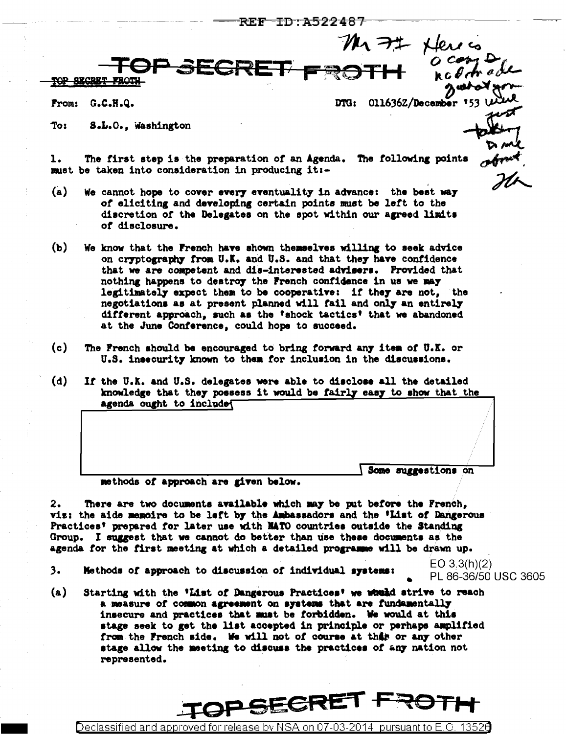From:  $G.C.H.Q.$  DTG: 011636Z/December 153 W

S.L.O., Washington To:

The first step is the preparation of an Agenda. The following points ı. must be taken into consideration in producing it :-

**SECRE** 

- $(a)$ We cannot hope to cover every eventuality in advance: the best way of eliciting and developing certain points must be left to the discretion of the Delegates on the spot within our agreed limits of disclosure.
- $(b)$ We know that the French have shown themselves willing to seek advice on cryptography from U.K. and U.S. and that they have confidence that we are competent and dis-interested advisers. Provided that nothing happens to destroy the French confidence in us we may legitimately expect them to be cooperative: if they are not, the negotiations as at present planned will fail and only an entirely different approach, such as the 'shock tactics' that we abandoned at the June Conference, could hope to succeed.
- $(c)$ The French should be encouraged to bring forward any item of U.K. or U.S. insecurity known to them for inclusion in the discussions.
- $(d)$ If the U.K. and U.S. delegates were able to disclose all the detailed knowledge that they possess it would be fairly easy to show that the agenda ought to include

Some suggestions on

methods of approach are given below.

2. There are two documents available which may be put before the French, viz: the aide memoire to be left by the Ambassadors and the 'List of Dangerous Practices' prepared for later use with NATO countries outside the Standing Group. I suggest that we cannot do better than use these documents as the agenda for the first meeting at which a detailed programme will be drawn up.

3. Methods of approach to discussion of individual systems:  $EO 3.3(h)(2)$ PL 86-36/50 USC 3605

 $(a)$ Starting with the 'List of Dangerous Practices' we wheled strive to reach a measure of common agreement on systems that are fundamentally insecure and practices that must be forbidden. We would at this stage seek to get the list accepted in principle or perhaps amplified from the French side. We will not of course at this or any other stage allow the meeting to discuss the practices of any nation not represented.

Declassified and approved for release by NSA on 07-03

PSECR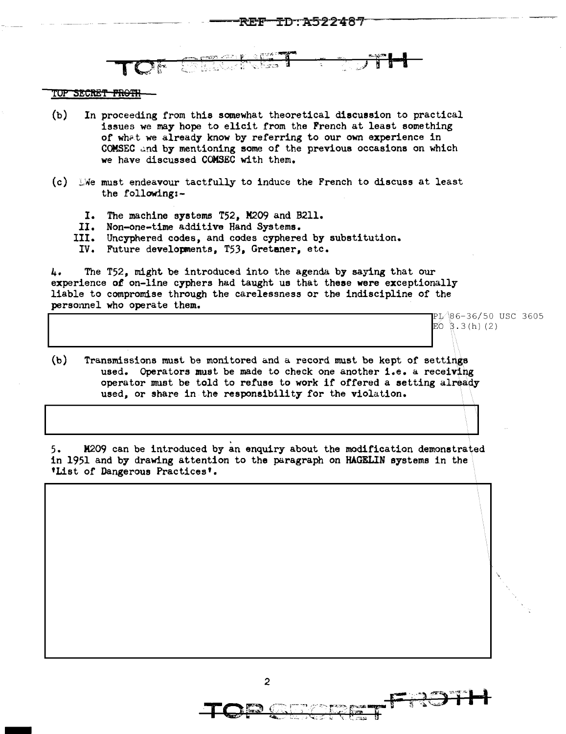## TOP SECRET FROTH

-

- (b) In proceeding from this somewhat theoretical discussion to practical issues we may hope to elicit from the French at least something of what we already know by referring to our own experience in COMSEC and by mentioning some of the previous occasions on which we have discussed COMSEC with them.
- (c) .We must endeavour tactfully to induce the French to discuss at least the following:-
	- I. The machine systems T52, M209 and B211.
	- II. Non-one-time additive Hand Systems.<br>III. Uncyphered codes, and codes cyphere
	- II. Uncyphered codes, and codes cyphered by substitution.<br>IV. Future develorments. T53. Gretaner. etc.
	- Future developments, T53, Gretaner, etc.

4. The T52, might be introduced into the agenda by saying that our experience *ol* on-line cyphers had taught us that these were exceptionally liable to compromise through the carelessness or the indiscipline of the personnel who operate them.<br>
PL<sup>366-36/50</sup> USC 3605

 $E(0, 3.3(h)$  (2) (b) Transmissions must be monitored and a record must be kept of settings

used. Operators must be made to check one another i.e. a receiving operator must be told to refuse to work if offered a setting already used, or share in the responsibility for the violation.

5. M209 can be introduced by an enquiry about the modification demonstrated in 1951 and by drawing attention to the paragraph on HAGELIN systems in the 'List *of* Dangerous Practices'.